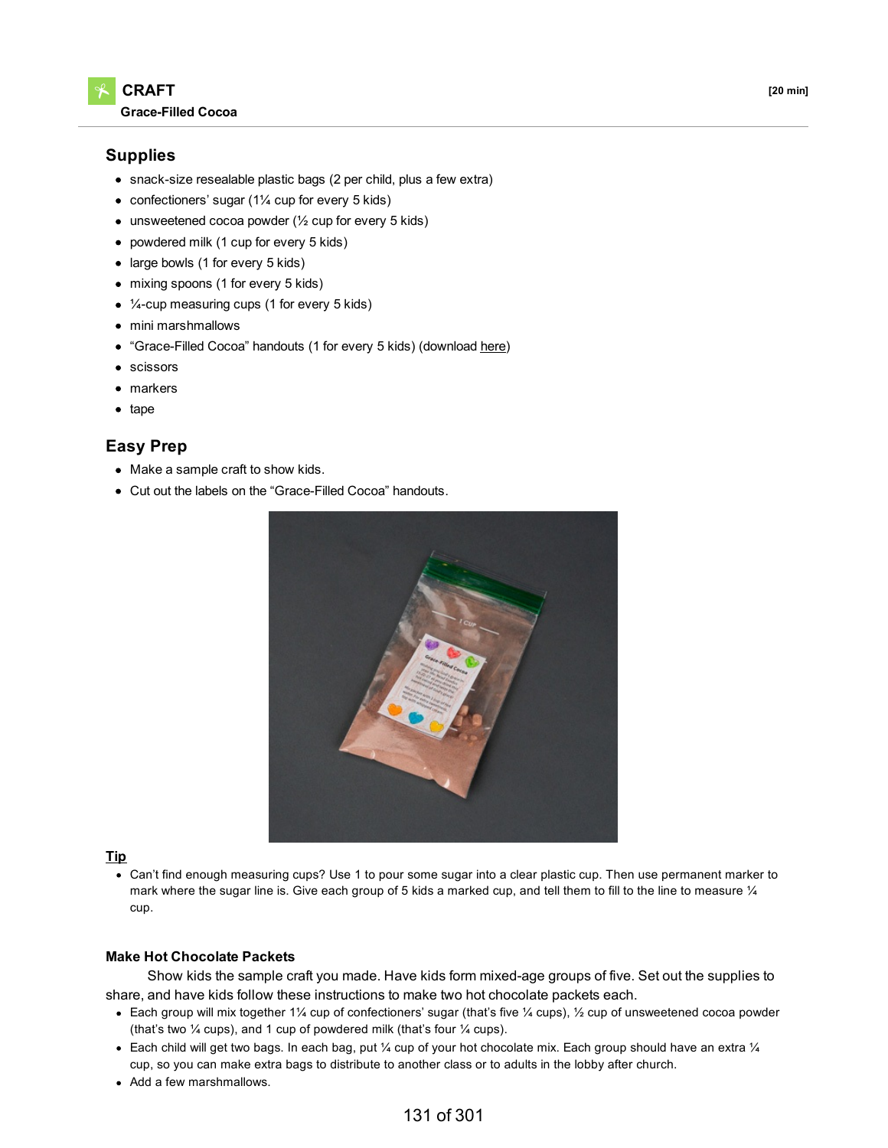

## **Supplies**

- snack-size resealable plastic bags (2 per child, plus a few extra)
- confectioners' sugar (1¼ cup for every 5 kids)
- $\bullet$  unsweetened cocoa powder ( $\frac{1}{2}$  cup for every 5 kids)
- powdered milk (1 cup for every 5 kids)
- large bowls (1 for every 5 kids)
- mixing spoons (1 for every 5 kids)
- ¼-cup measuring cups (1 for every 5 kids)
- mini marshmallows
- "Grace-Filled Cocoa" handouts (1 for every 5 kids) (download [here\)](https://digin-resources.group.com/media/9920/q1_lesson-06_grace-filled-cocoa_handout.pdf)
- scissors
- markers
- $\bullet$  tape

# **Easy Prep**

- Make a sample craft to show kids.
- Cut out the labels on the "Grace-Filled Cocoa" handouts.



### **Tip**

Can't find enough measuring cups? Use 1 to pour some sugar into a clear plastic cup. Then use permanent marker to mark where the sugar line is. Give each group of 5 kids a marked cup, and tell them to fill to the line to measure  $\mathcal{U}_4$ cup.

#### **Make Hot Chocolate Packets**

Show kids the sample craft you made. Have kids form mixed-age groups of five. Set out the supplies to share, and have kids follow these instructions to make two hot chocolate packets each.

- Each group will mix together 1¼ cup of confectioners' sugar (that's five ¼ cups), ½ cup of unsweetened cocoa powder (that's two ¼ cups), and 1 cup of powdered milk (that's four ¼ cups).
- Each child will get two bags. In each bag, put  $\frac{1}{4}$  cup of your hot chocolate mix. Each group should have an extra  $\frac{1}{4}$ cup, so you can make extra bags to distribute to another class or to adults in the lobby after church.
- Add a few marshmallows.